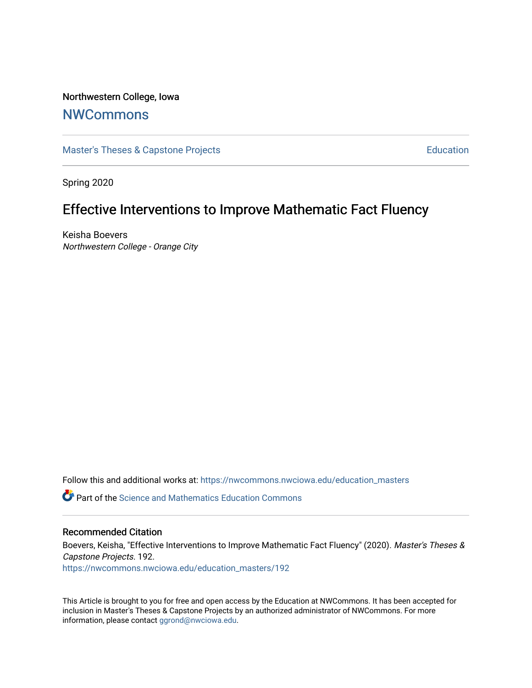# Northwestern College, Iowa

# **[NWCommons](https://nwcommons.nwciowa.edu/)**

[Master's Theses & Capstone Projects](https://nwcommons.nwciowa.edu/education_masters) **Education** Education

Spring 2020

# Effective Interventions to Improve Mathematic Fact Fluency

Keisha Boevers Northwestern College - Orange City

Follow this and additional works at: [https://nwcommons.nwciowa.edu/education\\_masters](https://nwcommons.nwciowa.edu/education_masters?utm_source=nwcommons.nwciowa.edu%2Feducation_masters%2F192&utm_medium=PDF&utm_campaign=PDFCoverPages)

Part of the [Science and Mathematics Education Commons](http://network.bepress.com/hgg/discipline/800?utm_source=nwcommons.nwciowa.edu%2Feducation_masters%2F192&utm_medium=PDF&utm_campaign=PDFCoverPages) 

# Recommended Citation

Boevers, Keisha, "Effective Interventions to Improve Mathematic Fact Fluency" (2020). Master's Theses & Capstone Projects. 192.

[https://nwcommons.nwciowa.edu/education\\_masters/192](https://nwcommons.nwciowa.edu/education_masters/192?utm_source=nwcommons.nwciowa.edu%2Feducation_masters%2F192&utm_medium=PDF&utm_campaign=PDFCoverPages)

This Article is brought to you for free and open access by the Education at NWCommons. It has been accepted for inclusion in Master's Theses & Capstone Projects by an authorized administrator of NWCommons. For more information, please contact [ggrond@nwciowa.edu](mailto:ggrond@nwciowa.edu).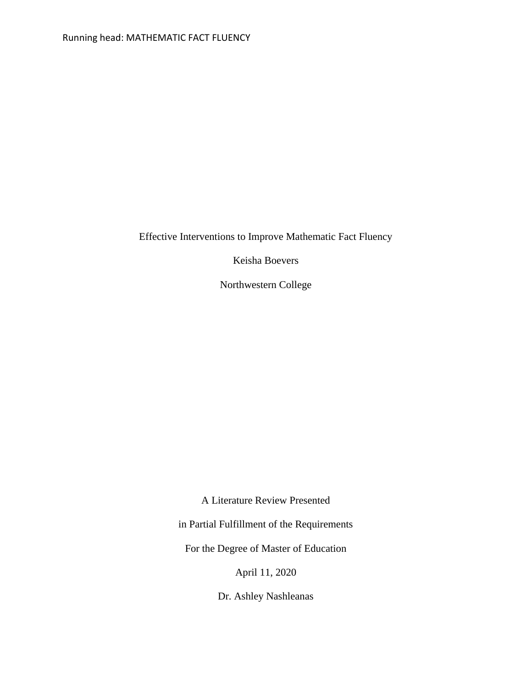Effective Interventions to Improve Mathematic Fact Fluency

Keisha Boevers

Northwestern College

A Literature Review Presented

in Partial Fulfillment of the Requirements

For the Degree of Master of Education

April 11, 2020

Dr. Ashley Nashleanas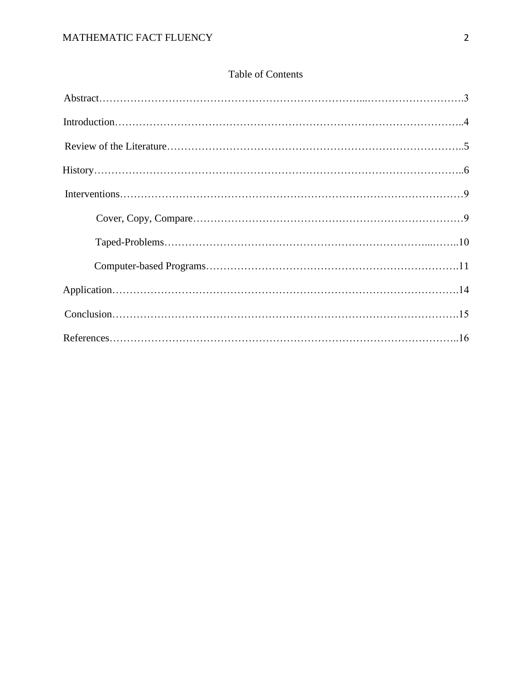# Table of Contents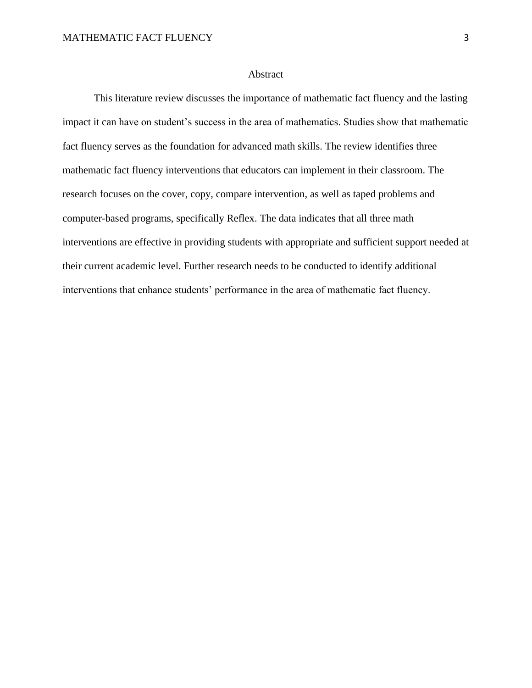### Abstract

This literature review discusses the importance of mathematic fact fluency and the lasting impact it can have on student's success in the area of mathematics. Studies show that mathematic fact fluency serves as the foundation for advanced math skills. The review identifies three mathematic fact fluency interventions that educators can implement in their classroom. The research focuses on the cover, copy, compare intervention, as well as taped problems and computer-based programs, specifically Reflex. The data indicates that all three math interventions are effective in providing students with appropriate and sufficient support needed at their current academic level. Further research needs to be conducted to identify additional interventions that enhance students' performance in the area of mathematic fact fluency.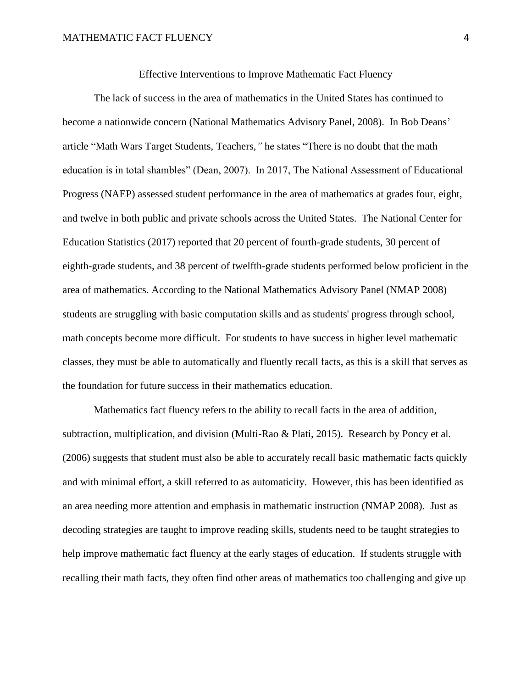The lack of success in the area of mathematics in the United States has continued to become a nationwide concern (National Mathematics Advisory Panel, 2008). In Bob Deans' article "Math Wars Target Students, Teachers,*"* he states "There is no doubt that the math education is in total shambles" (Dean, 2007). In 2017, The National Assessment of Educational Progress (NAEP) assessed student performance in the area of mathematics at grades four, eight, and twelve in both public and private schools across the United States. The National Center for Education Statistics (2017) reported that 20 percent of fourth-grade students, 30 percent of eighth-grade students, and 38 percent of twelfth-grade students performed below proficient in the area of mathematics. According to the National Mathematics Advisory Panel (NMAP 2008) students are struggling with basic computation skills and as students' progress through school, math concepts become more difficult. For students to have success in higher level mathematic classes, they must be able to automatically and fluently recall facts, as this is a skill that serves as the foundation for future success in their mathematics education.

Mathematics fact fluency refers to the ability to recall facts in the area of addition, subtraction, multiplication, and division (Multi-Rao & Plati, 2015). Research by Poncy et al. (2006) suggests that student must also be able to accurately recall basic mathematic facts quickly and with minimal effort, a skill referred to as automaticity. However, this has been identified as an area needing more attention and emphasis in mathematic instruction (NMAP 2008). Just as decoding strategies are taught to improve reading skills, students need to be taught strategies to help improve mathematic fact fluency at the early stages of education. If students struggle with recalling their math facts, they often find other areas of mathematics too challenging and give up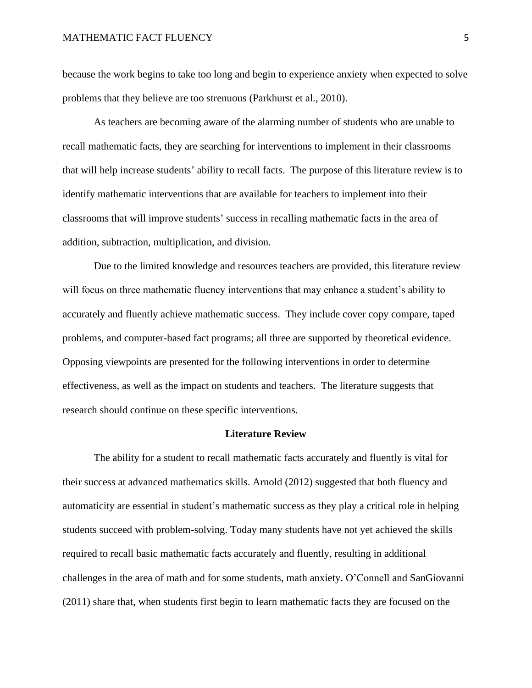because the work begins to take too long and begin to experience anxiety when expected to solve problems that they believe are too strenuous (Parkhurst et al., 2010).

As teachers are becoming aware of the alarming number of students who are unable to recall mathematic facts, they are searching for interventions to implement in their classrooms that will help increase students' ability to recall facts. The purpose of this literature review is to identify mathematic interventions that are available for teachers to implement into their classrooms that will improve students' success in recalling mathematic facts in the area of addition, subtraction, multiplication, and division.

Due to the limited knowledge and resources teachers are provided, this literature review will focus on three mathematic fluency interventions that may enhance a student's ability to accurately and fluently achieve mathematic success. They include cover copy compare, taped problems, and computer-based fact programs; all three are supported by theoretical evidence. Opposing viewpoints are presented for the following interventions in order to determine effectiveness, as well as the impact on students and teachers. The literature suggests that research should continue on these specific interventions.

#### **Literature Review**

The ability for a student to recall mathematic facts accurately and fluently is vital for their success at advanced mathematics skills. Arnold (2012) suggested that both fluency and automaticity are essential in student's mathematic success as they play a critical role in helping students succeed with problem-solving. Today many students have not yet achieved the skills required to recall basic mathematic facts accurately and fluently, resulting in additional challenges in the area of math and for some students, math anxiety. O'Connell and SanGiovanni (2011) share that, when students first begin to learn mathematic facts they are focused on the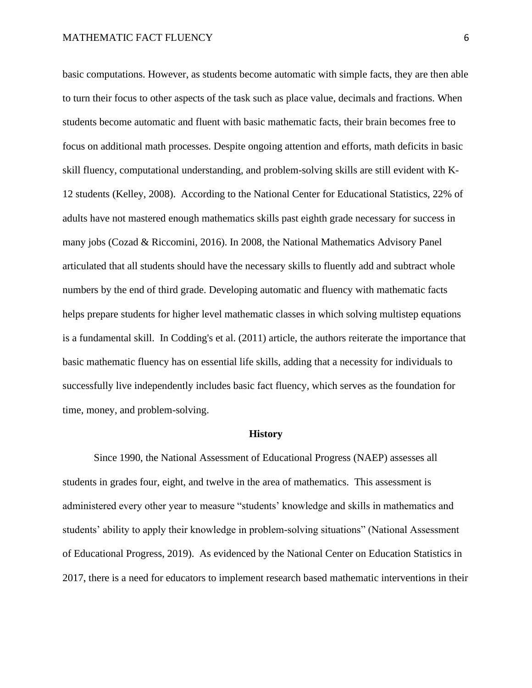basic computations. However, as students become automatic with simple facts, they are then able to turn their focus to other aspects of the task such as place value, decimals and fractions. When students become automatic and fluent with basic mathematic facts, their brain becomes free to focus on additional math processes. Despite ongoing attention and efforts, math deficits in basic skill fluency, computational understanding, and problem-solving skills are still evident with K-12 students (Kelley, 2008). According to the National Center for Educational Statistics, 22% of adults have not mastered enough mathematics skills past eighth grade necessary for success in many jobs (Cozad & Riccomini, 2016). In 2008, the National Mathematics Advisory Panel articulated that all students should have the necessary skills to fluently add and subtract whole numbers by the end of third grade. Developing automatic and fluency with mathematic facts helps prepare students for higher level mathematic classes in which solving multistep equations is a fundamental skill. In Codding's et al. (2011) article, the authors reiterate the importance that basic mathematic fluency has on essential life skills, adding that a necessity for individuals to successfully live independently includes basic fact fluency, which serves as the foundation for time, money, and problem-solving.

#### **History**

Since 1990, the National Assessment of Educational Progress (NAEP) assesses all students in grades four, eight, and twelve in the area of mathematics. This assessment is administered every other year to measure "students' knowledge and skills in mathematics and students' ability to apply their knowledge in problem-solving situations" (National Assessment of Educational Progress, 2019). As evidenced by the National Center on Education Statistics in 2017, there is a need for educators to implement research based mathematic interventions in their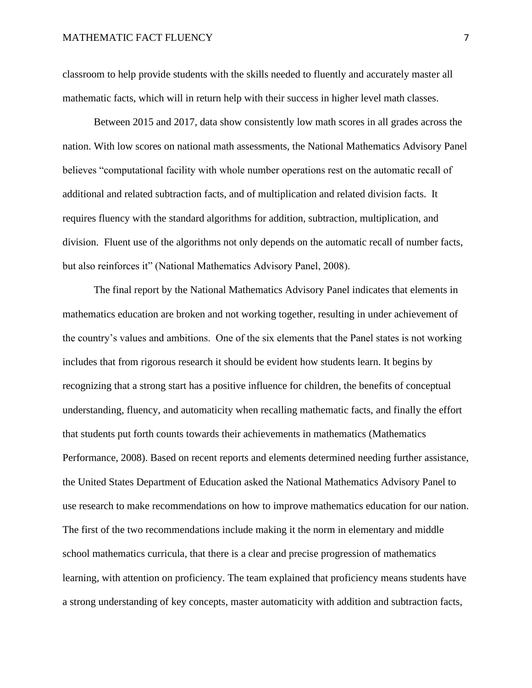classroom to help provide students with the skills needed to fluently and accurately master all mathematic facts, which will in return help with their success in higher level math classes.

Between 2015 and 2017, data show consistently low math scores in all grades across the nation. With low scores on national math assessments, the National Mathematics Advisory Panel believes "computational facility with whole number operations rest on the automatic recall of additional and related subtraction facts, and of multiplication and related division facts. It requires fluency with the standard algorithms for addition, subtraction, multiplication, and division. Fluent use of the algorithms not only depends on the automatic recall of number facts, but also reinforces it" (National Mathematics Advisory Panel, 2008).

The final report by the National Mathematics Advisory Panel indicates that elements in mathematics education are broken and not working together, resulting in under achievement of the country's values and ambitions. One of the six elements that the Panel states is not working includes that from rigorous research it should be evident how students learn. It begins by recognizing that a strong start has a positive influence for children, the benefits of conceptual understanding, fluency, and automaticity when recalling mathematic facts, and finally the effort that students put forth counts towards their achievements in mathematics (Mathematics Performance, 2008). Based on recent reports and elements determined needing further assistance, the United States Department of Education asked the National Mathematics Advisory Panel to use research to make recommendations on how to improve mathematics education for our nation. The first of the two recommendations include making it the norm in elementary and middle school mathematics curricula, that there is a clear and precise progression of mathematics learning, with attention on proficiency. The team explained that proficiency means students have a strong understanding of key concepts, master automaticity with addition and subtraction facts,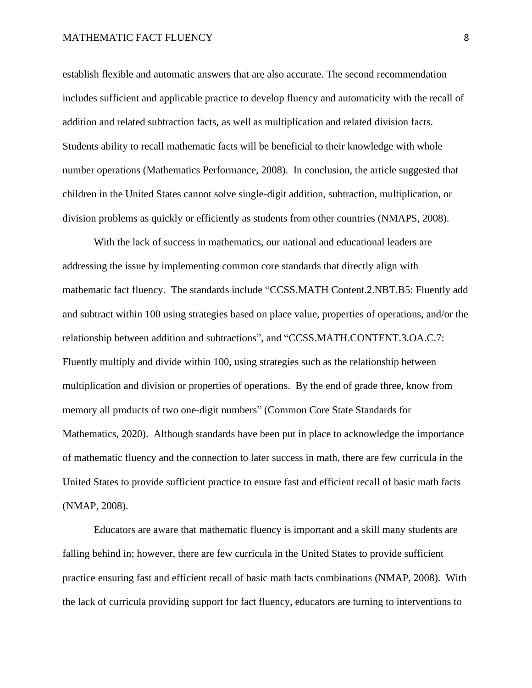establish flexible and automatic answers that are also accurate. The second recommendation includes sufficient and applicable practice to develop fluency and automaticity with the recall of addition and related subtraction facts, as well as multiplication and related division facts. Students ability to recall mathematic facts will be beneficial to their knowledge with whole number operations (Mathematics Performance, 2008). In conclusion, the article suggested that children in the United States cannot solve single-digit addition, subtraction, multiplication, or division problems as quickly or efficiently as students from other countries (NMAPS, 2008).

With the lack of success in mathematics, our national and educational leaders are addressing the issue by implementing common core standards that directly align with mathematic fact fluency. The standards include "CCSS.MATH Content.2.NBT.B5: Fluently add and subtract within 100 using strategies based on place value, properties of operations, and/or the relationship between addition and subtractions", and "CCSS.MATH.CONTENT.3.OA.C.7: Fluently multiply and divide within 100, using strategies such as the relationship between multiplication and division or properties of operations. By the end of grade three, know from memory all products of two one-digit numbers" (Common Core State Standards for Mathematics, 2020). Although standards have been put in place to acknowledge the importance of mathematic fluency and the connection to later success in math, there are few curricula in the United States to provide sufficient practice to ensure fast and efficient recall of basic math facts (NMAP, 2008).

Educators are aware that mathematic fluency is important and a skill many students are falling behind in; however, there are few curricula in the United States to provide sufficient practice ensuring fast and efficient recall of basic math facts combinations (NMAP, 2008). With the lack of curricula providing support for fact fluency, educators are turning to interventions to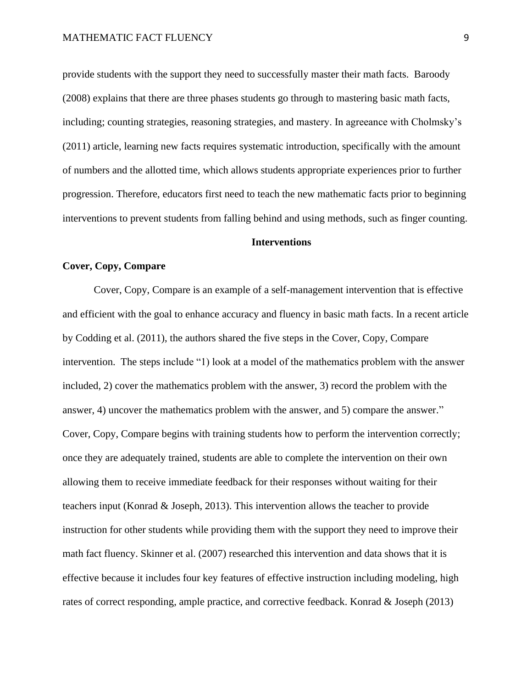provide students with the support they need to successfully master their math facts. Baroody (2008) explains that there are three phases students go through to mastering basic math facts, including; counting strategies, reasoning strategies, and mastery. In agreeance with Cholmsky's (2011) article, learning new facts requires systematic introduction, specifically with the amount of numbers and the allotted time, which allows students appropriate experiences prior to further progression. Therefore, educators first need to teach the new mathematic facts prior to beginning interventions to prevent students from falling behind and using methods, such as finger counting.

# **Interventions**

## **Cover, Copy, Compare**

Cover, Copy, Compare is an example of a self-management intervention that is effective and efficient with the goal to enhance accuracy and fluency in basic math facts. In a recent article by Codding et al. (2011), the authors shared the five steps in the Cover, Copy, Compare intervention. The steps include "1) look at a model of the mathematics problem with the answer included, 2) cover the mathematics problem with the answer, 3) record the problem with the answer, 4) uncover the mathematics problem with the answer, and 5) compare the answer." Cover, Copy, Compare begins with training students how to perform the intervention correctly; once they are adequately trained, students are able to complete the intervention on their own allowing them to receive immediate feedback for their responses without waiting for their teachers input (Konrad & Joseph, 2013). This intervention allows the teacher to provide instruction for other students while providing them with the support they need to improve their math fact fluency. Skinner et al. (2007) researched this intervention and data shows that it is effective because it includes four key features of effective instruction including modeling, high rates of correct responding, ample practice, and corrective feedback. Konrad & Joseph (2013)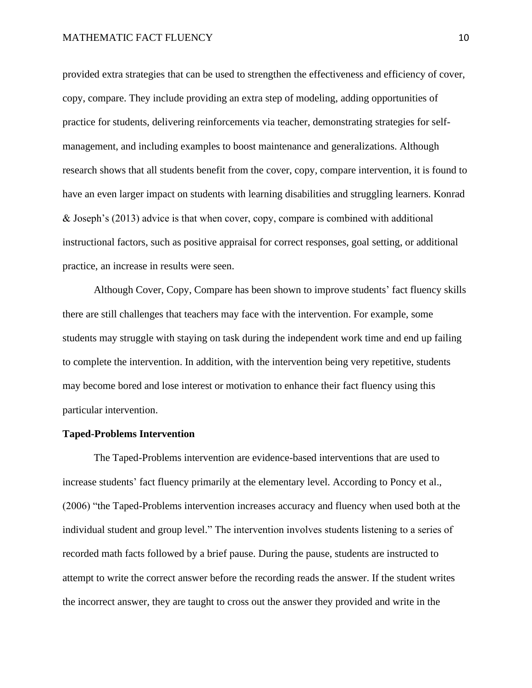provided extra strategies that can be used to strengthen the effectiveness and efficiency of cover, copy, compare. They include providing an extra step of modeling, adding opportunities of practice for students, delivering reinforcements via teacher, demonstrating strategies for selfmanagement, and including examples to boost maintenance and generalizations. Although research shows that all students benefit from the cover, copy, compare intervention, it is found to have an even larger impact on students with learning disabilities and struggling learners. Konrad & Joseph's (2013) advice is that when cover, copy, compare is combined with additional instructional factors, such as positive appraisal for correct responses, goal setting, or additional practice, an increase in results were seen.

Although Cover, Copy, Compare has been shown to improve students' fact fluency skills there are still challenges that teachers may face with the intervention. For example, some students may struggle with staying on task during the independent work time and end up failing to complete the intervention. In addition, with the intervention being very repetitive, students may become bored and lose interest or motivation to enhance their fact fluency using this particular intervention.

#### **Taped-Problems Intervention**

The Taped-Problems intervention are evidence-based interventions that are used to increase students' fact fluency primarily at the elementary level. According to Poncy et al., (2006) "the Taped-Problems intervention increases accuracy and fluency when used both at the individual student and group level." The intervention involves students listening to a series of recorded math facts followed by a brief pause. During the pause, students are instructed to attempt to write the correct answer before the recording reads the answer. If the student writes the incorrect answer, they are taught to cross out the answer they provided and write in the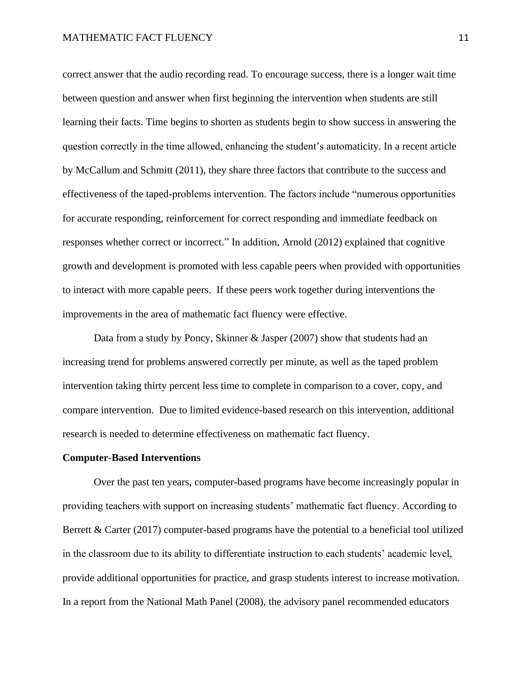correct answer that the audio recording read. To encourage success, there is a longer wait time between question and answer when first beginning the intervention when students are still learning their facts. Time begins to shorten as students begin to show success in answering the question correctly in the time allowed, enhancing the student's automaticity. In a recent article by McCallum and Schmitt (2011), they share three factors that contribute to the success and effectiveness of the taped-problems intervention. The factors include "numerous opportunities for accurate responding, reinforcement for correct responding and immediate feedback on responses whether correct or incorrect." In addition, Arnold (2012) explained that cognitive growth and development is promoted with less capable peers when provided with opportunities to interact with more capable peers. If these peers work together during interventions the improvements in the area of mathematic fact fluency were effective.

Data from a study by Poncy, Skinner & Jasper (2007) show that students had an increasing trend for problems answered correctly per minute, as well as the taped problem intervention taking thirty percent less time to complete in comparison to a cover, copy, and compare intervention. Due to limited evidence-based research on this intervention, additional research is needed to determine effectiveness on mathematic fact fluency.

## **Computer-Based Interventions**

Over the past ten years, computer-based programs have become increasingly popular in providing teachers with support on increasing students' mathematic fact fluency. According to Berrett & Carter (2017) computer-based programs have the potential to a beneficial tool utilized in the classroom due to its ability to differentiate instruction to each students' academic level, provide additional opportunities for practice, and grasp students interest to increase motivation. In a report from the National Math Panel (2008), the advisory panel recommended educators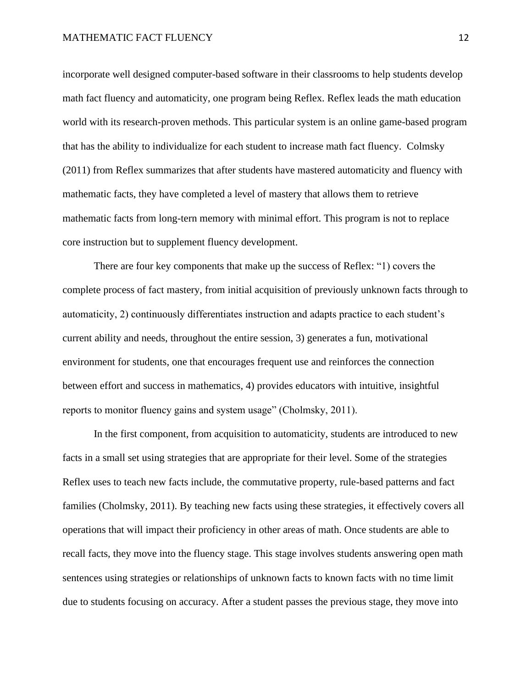incorporate well designed computer-based software in their classrooms to help students develop math fact fluency and automaticity, one program being Reflex. Reflex leads the math education world with its research-proven methods. This particular system is an online game-based program that has the ability to individualize for each student to increase math fact fluency. Colmsky (2011) from Reflex summarizes that after students have mastered automaticity and fluency with mathematic facts, they have completed a level of mastery that allows them to retrieve mathematic facts from long-tern memory with minimal effort. This program is not to replace core instruction but to supplement fluency development.

There are four key components that make up the success of Reflex: "1) covers the complete process of fact mastery, from initial acquisition of previously unknown facts through to automaticity, 2) continuously differentiates instruction and adapts practice to each student's current ability and needs, throughout the entire session, 3) generates a fun, motivational environment for students, one that encourages frequent use and reinforces the connection between effort and success in mathematics, 4) provides educators with intuitive, insightful reports to monitor fluency gains and system usage" (Cholmsky, 2011).

In the first component, from acquisition to automaticity, students are introduced to new facts in a small set using strategies that are appropriate for their level. Some of the strategies Reflex uses to teach new facts include, the commutative property, rule-based patterns and fact families (Cholmsky, 2011). By teaching new facts using these strategies, it effectively covers all operations that will impact their proficiency in other areas of math. Once students are able to recall facts, they move into the fluency stage. This stage involves students answering open math sentences using strategies or relationships of unknown facts to known facts with no time limit due to students focusing on accuracy. After a student passes the previous stage, they move into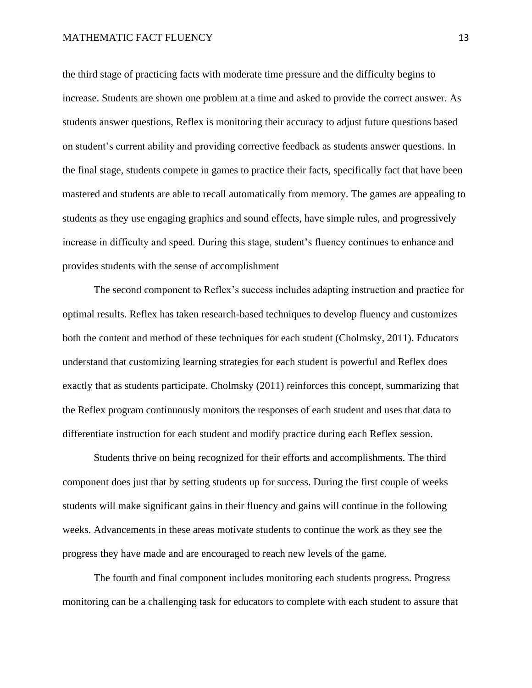the third stage of practicing facts with moderate time pressure and the difficulty begins to increase. Students are shown one problem at a time and asked to provide the correct answer. As students answer questions, Reflex is monitoring their accuracy to adjust future questions based on student's current ability and providing corrective feedback as students answer questions. In the final stage, students compete in games to practice their facts, specifically fact that have been mastered and students are able to recall automatically from memory. The games are appealing to students as they use engaging graphics and sound effects, have simple rules, and progressively increase in difficulty and speed. During this stage, student's fluency continues to enhance and provides students with the sense of accomplishment

The second component to Reflex's success includes adapting instruction and practice for optimal results. Reflex has taken research-based techniques to develop fluency and customizes both the content and method of these techniques for each student (Cholmsky, 2011). Educators understand that customizing learning strategies for each student is powerful and Reflex does exactly that as students participate. Cholmsky (2011) reinforces this concept, summarizing that the Reflex program continuously monitors the responses of each student and uses that data to differentiate instruction for each student and modify practice during each Reflex session.

Students thrive on being recognized for their efforts and accomplishments. The third component does just that by setting students up for success. During the first couple of weeks students will make significant gains in their fluency and gains will continue in the following weeks. Advancements in these areas motivate students to continue the work as they see the progress they have made and are encouraged to reach new levels of the game.

The fourth and final component includes monitoring each students progress. Progress monitoring can be a challenging task for educators to complete with each student to assure that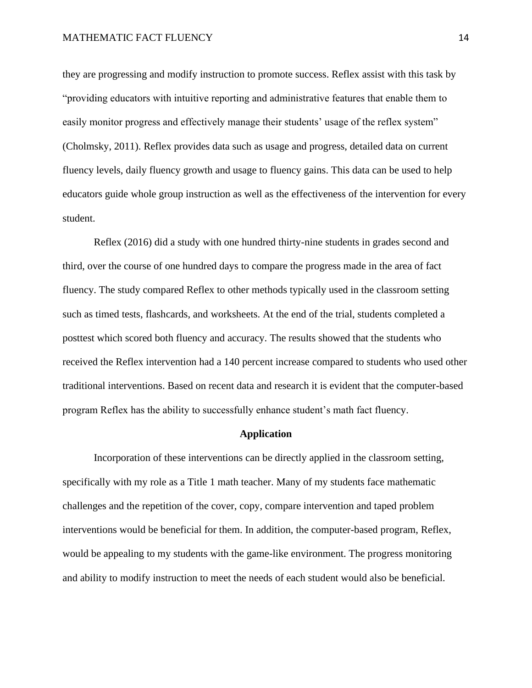they are progressing and modify instruction to promote success. Reflex assist with this task by "providing educators with intuitive reporting and administrative features that enable them to easily monitor progress and effectively manage their students' usage of the reflex system" (Cholmsky, 2011). Reflex provides data such as usage and progress, detailed data on current fluency levels, daily fluency growth and usage to fluency gains. This data can be used to help educators guide whole group instruction as well as the effectiveness of the intervention for every student.

Reflex (2016) did a study with one hundred thirty-nine students in grades second and third, over the course of one hundred days to compare the progress made in the area of fact fluency. The study compared Reflex to other methods typically used in the classroom setting such as timed tests, flashcards, and worksheets. At the end of the trial, students completed a posttest which scored both fluency and accuracy. The results showed that the students who received the Reflex intervention had a 140 percent increase compared to students who used other traditional interventions. Based on recent data and research it is evident that the computer-based program Reflex has the ability to successfully enhance student's math fact fluency.

### **Application**

Incorporation of these interventions can be directly applied in the classroom setting, specifically with my role as a Title 1 math teacher. Many of my students face mathematic challenges and the repetition of the cover, copy, compare intervention and taped problem interventions would be beneficial for them. In addition, the computer-based program, Reflex, would be appealing to my students with the game-like environment. The progress monitoring and ability to modify instruction to meet the needs of each student would also be beneficial.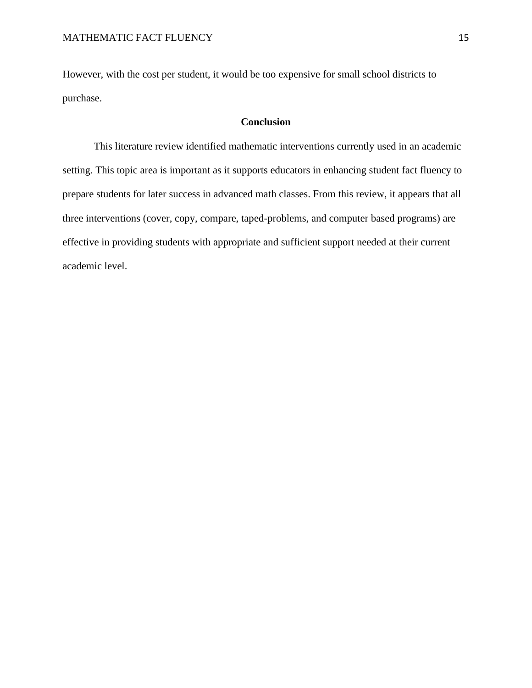However, with the cost per student, it would be too expensive for small school districts to purchase.

# **Conclusion**

This literature review identified mathematic interventions currently used in an academic setting. This topic area is important as it supports educators in enhancing student fact fluency to prepare students for later success in advanced math classes. From this review, it appears that all three interventions (cover, copy, compare, taped-problems, and computer based programs) are effective in providing students with appropriate and sufficient support needed at their current academic level.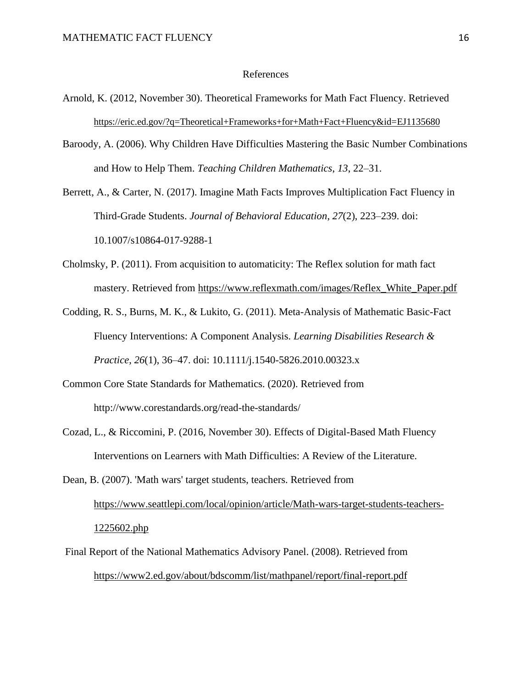### References

- Arnold, K. (2012, November 30). Theoretical Frameworks for Math Fact Fluency. Retrieved <https://eric.ed.gov/?q=Theoretical+Frameworks+for+Math+Fact+Fluency&id=EJ1135680>
- Baroody, A. (2006). Why Children Have Difficulties Mastering the Basic Number Combinations and How to Help Them. *Teaching Children Mathematics*, *13*, 22–31.

Berrett, A., & Carter, N. (2017). Imagine Math Facts Improves Multiplication Fact Fluency in Third-Grade Students. *Journal of Behavioral Education*, *27*(2), 223–239. doi: 10.1007/s10864-017-9288-1

- Cholmsky, P. (2011). From acquisition to automaticity: The Reflex solution for math fact mastery. Retrieved from [https://www.reflexmath.com/images/Reflex\\_White\\_Paper.pdf](https://www.reflexmath.com/images/Reflex_White_Paper.pdf)
- Codding, R. S., Burns, M. K., & Lukito, G. (2011). Meta-Analysis of Mathematic Basic-Fact Fluency Interventions: A Component Analysis. *Learning Disabilities Research & Practice*, *26*(1), 36–47. doi: 10.1111/j.1540-5826.2010.00323.x
- Common Core State Standards for Mathematics. (2020). Retrieved from http://www.corestandards.org/read-the-standards/
- Cozad, L., & Riccomini, P. (2016, November 30). Effects of Digital-Based Math Fluency Interventions on Learners with Math Difficulties: A Review of the Literature.

Dean, B. (2007). 'Math wars' target students, teachers. Retrieved from [https://www.seattlepi.com/local/opinion/article/Math-wars-target-students-teachers-](/Users/BoeversK/Library/Containers/com.microsoft.Word/Data/Desktop/Dean,%20B.%20(2007).%20)[1225602.php](/Users/BoeversK/Library/Containers/com.microsoft.Word/Data/Desktop/Dean,%20B.%20(2007).%20)

Final Report of the National Mathematics Advisory Panel. (2008). Retrieved from <https://www2.ed.gov/about/bdscomm/list/mathpanel/report/final-report.pdf>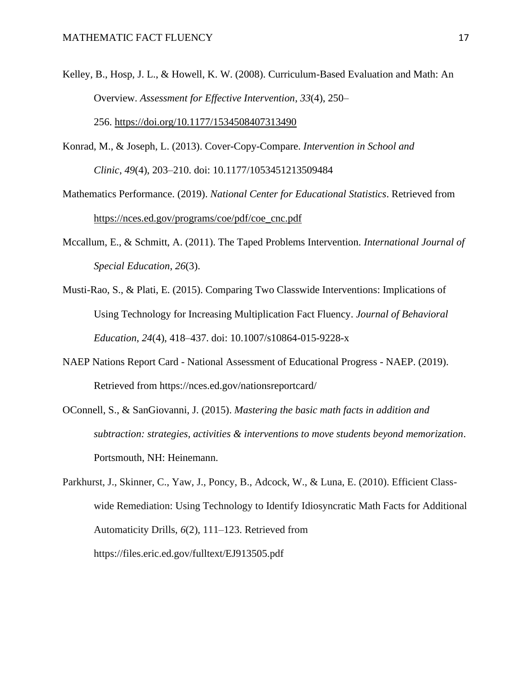- Kelley, B., Hosp, J. L., & Howell, K. W. (2008). Curriculum-Based Evaluation and Math: An Overview. *Assessment for Effective Intervention*, *33*(4), 250– 256. <https://doi.org/10.1177/1534508407313490>
- Konrad, M., & Joseph, L. (2013). Cover-Copy-Compare. *Intervention in School and Clinic*, *49*(4), 203–210. doi: 10.1177/1053451213509484
- Mathematics Performance. (2019). *National Center for Educational Statistics*. Retrieved from [https://nces.ed.gov/programs/coe/pdf/coe\\_cnc.pdf](https://nces.ed.gov/programs/coe/pdf/coe_cnc.pdf)
- Mccallum, E., & Schmitt, A. (2011). The Taped Problems Intervention. *International Journal of Special Education*, *26*(3).
- Musti-Rao, S., & Plati, E. (2015). Comparing Two Classwide Interventions: Implications of Using Technology for Increasing Multiplication Fact Fluency. *Journal of Behavioral Education*, *24*(4), 418–437. doi: 10.1007/s10864-015-9228-x
- NAEP Nations Report Card National Assessment of Educational Progress NAEP. (2019). Retrieved from https://nces.ed.gov/nationsreportcard/
- OConnell, S., & SanGiovanni, J. (2015). *Mastering the basic math facts in addition and subtraction: strategies, activities & interventions to move students beyond memorization*. Portsmouth, NH: Heinemann.
- Parkhurst, J., Skinner, C., Yaw, J., Poncy, B., Adcock, W., & Luna, E. (2010). Efficient Classwide Remediation: Using Technology to Identify Idiosyncratic Math Facts for Additional Automaticity Drills, *6*(2), 111–123. Retrieved from https://files.eric.ed.gov/fulltext/EJ913505.pdf